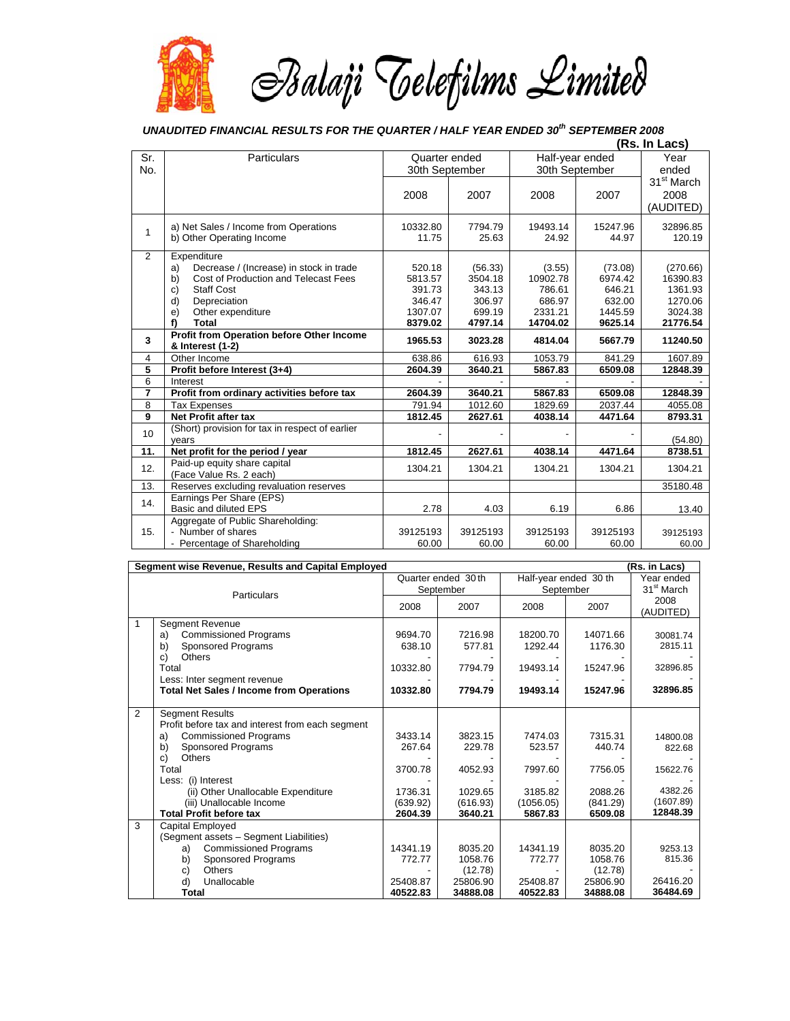

## *UNAUDITED FINANCIAL RESULTS FOR THE QUARTER / HALF YEAR ENDED 30th SEPTEMBER 2008*

|                | (Rs. In Lacs)                                                 |                |          |                 |          |                        |
|----------------|---------------------------------------------------------------|----------------|----------|-----------------|----------|------------------------|
| Sr.            | Particulars                                                   | Quarter ended  |          | Half-year ended |          | Year                   |
| No.            |                                                               | 30th September |          | 30th September  |          | ended                  |
|                |                                                               |                |          |                 |          | 31 <sup>st</sup> March |
|                |                                                               | 2008           | 2007     | 2008            | 2007     | 2008                   |
|                |                                                               |                |          |                 |          | (AUDITED)              |
|                | a) Net Sales / Income from Operations                         | 10332.80       | 7794.79  | 19493.14        | 15247.96 | 32896.85               |
| $\mathbf{1}$   | b) Other Operating Income                                     | 11.75          | 25.63    | 24.92           | 44.97    | 120.19                 |
| 2              | Expenditure                                                   |                |          |                 |          |                        |
|                | Decrease / (Increase) in stock in trade<br>a)                 | 520.18         | (56.33)  | (3.55)          | (73.08)  | (270.66)               |
|                | Cost of Production and Telecast Fees<br>b)                    | 5813.57        | 3504.18  | 10902.78        | 6974.42  | 16390.83               |
|                | <b>Staff Cost</b><br>$\mathbf{C}$                             | 391.73         | 343.13   | 786.61          | 646.21   | 1361.93                |
|                | Depreciation<br>d)                                            | 346.47         | 306.97   | 686.97          | 632.00   | 1270.06                |
|                | e)<br>Other expenditure                                       | 1307.07        | 699.19   | 2331.21         | 1445.59  | 3024.38                |
|                | f)<br>Total                                                   | 8379.02        | 4797.14  | 14704.02        | 9625.14  | 21776.54               |
| 3              | Profit from Operation before Other Income<br>& Interest (1-2) | 1965.53        | 3023.28  | 4814.04         | 5667.79  | 11240.50               |
| 4              | Other Income                                                  | 638.86         | 616.93   | 1053.79         | 841.29   | 1607.89                |
| $\overline{5}$ | Profit before Interest (3+4)                                  | 2604.39        | 3640.21  | 5867.83         | 6509.08  | 12848.39               |
| 6              | Interest                                                      |                |          |                 |          |                        |
| $\overline{7}$ | Profit from ordinary activities before tax                    | 2604.39        | 3640.21  | 5867.83         | 6509.08  | 12848.39               |
| 8              | <b>Tax Expenses</b>                                           | 791.94         | 1012.60  | 1829.69         | 2037.44  | 4055.08                |
| 9              | Net Profit after tax                                          | 1812.45        | 2627.61  | 4038.14         | 4471.64  | 8793.31                |
| 10             | (Short) provision for tax in respect of earlier               |                |          |                 |          |                        |
| 11.            | vears<br>Net profit for the period / year                     | 1812.45        | 2627.61  | 4038.14         | 4471.64  | (54.80)<br>8738.51     |
|                | Paid-up equity share capital                                  |                |          |                 |          |                        |
| 12.            | (Face Value Rs. 2 each)                                       | 1304.21        | 1304.21  | 1304.21         | 1304.21  | 1304.21                |
| 13.            | Reserves excluding revaluation reserves                       |                |          |                 |          | 35180.48               |
| 14.            | Earnings Per Share (EPS)<br>Basic and diluted EPS             | 2.78           | 4.03     | 6.19            | 6.86     | 13.40                  |
|                | Aggregate of Public Shareholding:                             |                |          |                 |          |                        |
| 15.            | - Number of shares                                            | 39125193       | 39125193 | 39125193        | 39125193 | 39125193               |
|                | - Percentage of Shareholding                                  | 60.00          | 60.00    | 60.00           | 60.00    | 60.00                  |

| Segment wise Revenue, Results and Capital Employed<br>(Rs. in Lacs) |                                                                            |                                 |                     |                                    |                     |                                      |  |  |
|---------------------------------------------------------------------|----------------------------------------------------------------------------|---------------------------------|---------------------|------------------------------------|---------------------|--------------------------------------|--|--|
| Particulars                                                         |                                                                            | Quarter ended 30th<br>September |                     | Half-year ended 30 th<br>September |                     | Year ended<br>31 <sup>st</sup> March |  |  |
|                                                                     |                                                                            | 2008                            | 2007                | 2008                               | 2007                | 2008<br>(AUDITED)                    |  |  |
| 1                                                                   | <b>Segment Revenue</b><br><b>Commissioned Programs</b><br>a)               | 9694.70                         | 7216.98             | 18200.70                           | 14071.66            | 30081.74                             |  |  |
|                                                                     | Sponsored Programs<br>b)<br><b>Others</b><br>c)                            | 638.10                          | 577.81              | 1292.44                            | 1176.30             | 2815.11                              |  |  |
|                                                                     | Total<br>Less: Inter segment revenue                                       | 10332.80                        | 7794.79             | 19493.14                           | 15247.96            | 32896.85                             |  |  |
|                                                                     | <b>Total Net Sales / Income from Operations</b>                            | 10332.80                        | 7794.79             | 19493.14                           | 15247.96            | 32896.85                             |  |  |
| $\overline{2}$                                                      | <b>Segment Results</b><br>Profit before tax and interest from each segment |                                 |                     |                                    |                     |                                      |  |  |
|                                                                     | <b>Commissioned Programs</b><br>a)                                         | 3433.14                         | 3823.15             | 7474.03                            | 7315.31             | 14800.08                             |  |  |
|                                                                     | Sponsored Programs<br>b)<br><b>Others</b><br>c)                            | 267.64                          | 229.78              | 523.57                             | 440.74              | 822.68                               |  |  |
|                                                                     | Total                                                                      | 3700.78                         | 4052.93             | 7997.60                            | 7756.05             | 15622.76                             |  |  |
|                                                                     | Less: (i) Interest<br>(ii) Other Unallocable Expenditure                   | 1736.31                         | 1029.65             | 3185.82                            | 2088.26             | 4382.26                              |  |  |
|                                                                     | (iii) Unallocable Income<br><b>Total Profit before tax</b>                 | (639.92)<br>2604.39             | (616.93)<br>3640.21 | (1056.05)<br>5867.83               | (841.29)<br>6509.08 | (1607.89)<br>12848.39                |  |  |
| 3                                                                   | <b>Capital Employed</b><br>(Segment assets - Segment Liabilities)          |                                 |                     |                                    |                     |                                      |  |  |
|                                                                     | <b>Commissioned Programs</b><br>a)                                         | 14341.19                        | 8035.20             | 14341.19                           | 8035.20             | 9253.13                              |  |  |
|                                                                     | b)<br><b>Sponsored Programs</b><br>Others<br>c)                            | 772.77                          | 1058.76<br>(12.78)  | 772.77                             | 1058.76<br>(12.78)  | 815.36                               |  |  |
|                                                                     | d)<br>Unallocable                                                          | 25408.87                        | 25806.90            | 25408.87                           | 25806.90            | 26416.20<br>36484.69                 |  |  |
|                                                                     | <b>Total</b>                                                               | 40522.83                        | 34888.08            | 40522.83                           | 34888.08            |                                      |  |  |